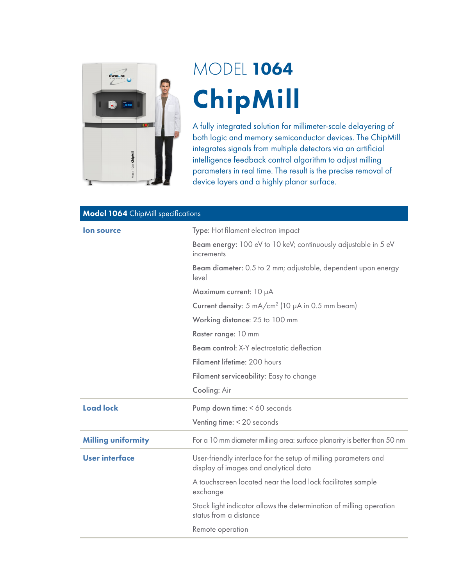

## MODEL 1064 ChipMill

A fully integrated solution for millimeter-scale delayering of both logic and memory semiconductor devices. The ChipMill integrates signals from multiple detectors via an artificial intelligence feedback control algorithm to adjust milling parameters in real time. The result is the precise removal of device layers and a highly planar surface.

| <b>Model 1064</b> ChipMill specifications |                                                                                                          |  |
|-------------------------------------------|----------------------------------------------------------------------------------------------------------|--|
| lon source                                | Type: Hot filament electron impact                                                                       |  |
|                                           | Beam energy: 100 eV to 10 keV; continuously adjustable in 5 eV<br>increments                             |  |
|                                           | Beam diameter: 0.5 to 2 mm; adjustable, dependent upon energy<br>level                                   |  |
|                                           | Maximum current: 10 µA                                                                                   |  |
|                                           | Current density: $5 \text{ mA/cm}^2$ (10 $\mu$ A in 0.5 mm beam)                                         |  |
|                                           | Working distance: 25 to 100 mm                                                                           |  |
|                                           | Raster range: 10 mm                                                                                      |  |
|                                           | Beam control: X-Y electrostatic deflection                                                               |  |
|                                           | Filament lifetime: 200 hours                                                                             |  |
|                                           | Filament serviceability: Easy to change                                                                  |  |
|                                           | Cooling: Air                                                                                             |  |
| <b>Load lock</b>                          | Pump down time: < 60 seconds                                                                             |  |
|                                           | Venting time: < 20 seconds                                                                               |  |
| <b>Milling uniformity</b>                 | For a 10 mm diameter milling area: surface planarity is better than 50 nm                                |  |
| <b>User interface</b>                     | User-friendly interface for the setup of milling parameters and<br>display of images and analytical data |  |
|                                           | A touchscreen located near the load lock facilitates sample<br>exchange                                  |  |
|                                           | Stack light indicator allows the determination of milling operation<br>status from a distance            |  |
|                                           | Remote operation                                                                                         |  |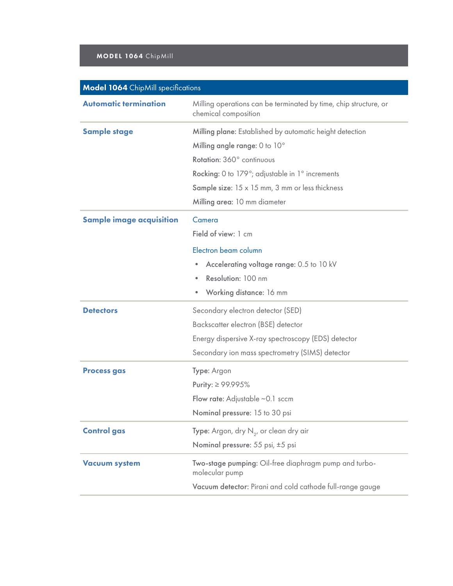## MODEL 1064 ChipMill

| <b>Model 1064</b> ChipMill specifications |                                                                                          |  |
|-------------------------------------------|------------------------------------------------------------------------------------------|--|
| <b>Automatic termination</b>              | Milling operations can be terminated by time, chip structure, or<br>chemical composition |  |
| <b>Sample stage</b>                       | Milling plane: Established by automatic height detection                                 |  |
|                                           | Milling angle range: 0 to 10°                                                            |  |
|                                           | Rotation: 360° continuous                                                                |  |
|                                           | Rocking: 0 to 179°; adjustable in 1° increments                                          |  |
|                                           | Sample size: $15 \times 15$ mm, 3 mm or less thickness                                   |  |
|                                           | Milling area: 10 mm diameter                                                             |  |
| <b>Sample image acquisition</b>           | Camera                                                                                   |  |
|                                           | Field of view: 1 cm                                                                      |  |
|                                           | Electron beam column                                                                     |  |
|                                           | Accelerating voltage range: 0.5 to 10 kV<br>$\bullet$                                    |  |
|                                           | Resolution: 100 nm<br>$\bullet$                                                          |  |
|                                           | Working distance: 16 mm<br>$\bullet$                                                     |  |
| <b>Detectors</b>                          | Secondary electron detector (SED)                                                        |  |
|                                           | Backscatter electron (BSE) detector                                                      |  |
|                                           | Energy dispersive X-ray spectroscopy (EDS) detector                                      |  |
|                                           | Secondary ion mass spectrometry (SIMS) detector                                          |  |
| <b>Process gas</b>                        | Type: Argon                                                                              |  |
|                                           | Purity: ≥ 99.995%                                                                        |  |
|                                           | Flow rate: Adjustable $\sim$ 0.1 sccm                                                    |  |
|                                           | Nominal pressure: 15 to 30 psi                                                           |  |
| <b>Control gas</b>                        | <b>Type:</b> Argon, dry $N_{2}$ , or clean dry air                                       |  |
|                                           | Nominal pressure: 55 psi, ±5 psi                                                         |  |
| <b>Vacuum system</b>                      | Two-stage pumping: Oil-free diaphragm pump and turbo-<br>molecular pump                  |  |
|                                           | Vacuum detector: Pirani and cold cathode full-range gauge                                |  |